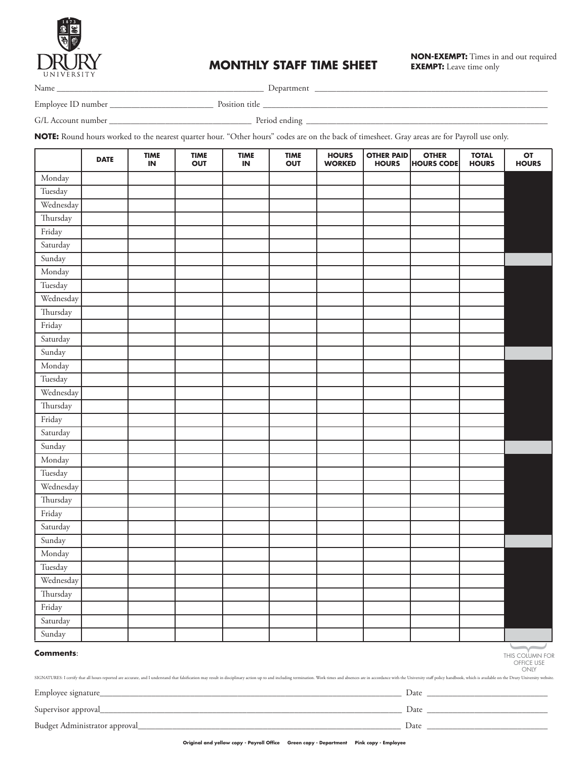

## **MONTHLY STAFF TIME SHEET**

**NON-EXEMPT:** Times in and out required **EXEMPT:** Leave time only

Name \_\_\_\_\_\_\_\_\_\_\_\_\_\_\_\_\_\_\_\_\_\_\_\_\_\_\_\_\_\_\_\_\_\_\_\_\_\_\_\_\_\_\_\_\_\_\_\_ Department \_\_\_\_\_\_\_\_\_\_\_\_\_\_\_\_\_\_\_\_\_\_\_\_\_\_\_\_\_\_\_\_\_\_\_\_\_\_\_\_\_\_\_\_\_\_\_\_\_\_\_\_\_\_

Employee ID number \_\_\_\_\_\_\_\_\_\_\_\_\_\_\_\_\_\_\_\_\_\_\_\_ Position title \_\_\_\_\_\_\_\_\_\_\_\_\_\_\_\_\_\_\_\_\_\_\_\_\_\_\_\_\_\_\_\_\_\_\_\_\_\_\_\_\_\_\_\_\_\_\_\_\_\_\_\_\_\_\_\_\_\_\_\_\_\_\_\_\_\_

G/L Account number \_\_\_\_\_\_\_\_\_\_\_\_\_\_\_\_\_\_\_\_\_\_\_\_\_\_\_\_\_\_\_\_\_ Period ending \_\_\_\_\_\_\_\_\_\_\_\_\_\_\_\_\_\_\_\_\_\_\_\_\_\_\_\_\_\_\_\_\_\_\_\_\_\_\_\_\_\_\_\_\_\_\_\_\_\_\_\_\_\_\_\_

**NOTE:** Round hours worked to the nearest quarter hour. "Other hours" codes are on the back of timesheet. Gray areas are for Payroll use only.

|                                                                                                                                                                                                                                                                                             | <b>DATE</b> | <b>TIME</b><br>IN | <b>TIME</b><br><b>OUT</b> | <b>TIME</b><br>$\sf IN$ | <b>TIME</b><br><b>OUT</b> | <b>HOURS</b><br><b>WORKED</b> | <b>OTHER PAID</b><br><b>HOURS</b> | <b>OTHER</b><br><b>HOURS CODE</b> | <b>TOTAL</b><br><b>HOURS</b> | OT<br><b>HOURS</b> |
|---------------------------------------------------------------------------------------------------------------------------------------------------------------------------------------------------------------------------------------------------------------------------------------------|-------------|-------------------|---------------------------|-------------------------|---------------------------|-------------------------------|-----------------------------------|-----------------------------------|------------------------------|--------------------|
| Monday                                                                                                                                                                                                                                                                                      |             |                   |                           |                         |                           |                               |                                   |                                   |                              |                    |
| Tuesday                                                                                                                                                                                                                                                                                     |             |                   |                           |                         |                           |                               |                                   |                                   |                              |                    |
| Wednesday                                                                                                                                                                                                                                                                                   |             |                   |                           |                         |                           |                               |                                   |                                   |                              |                    |
| Thursday                                                                                                                                                                                                                                                                                    |             |                   |                           |                         |                           |                               |                                   |                                   |                              |                    |
| Friday                                                                                                                                                                                                                                                                                      |             |                   |                           |                         |                           |                               |                                   |                                   |                              |                    |
| Saturday                                                                                                                                                                                                                                                                                    |             |                   |                           |                         |                           |                               |                                   |                                   |                              |                    |
| Sunday                                                                                                                                                                                                                                                                                      |             |                   |                           |                         |                           |                               |                                   |                                   |                              |                    |
| Monday                                                                                                                                                                                                                                                                                      |             |                   |                           |                         |                           |                               |                                   |                                   |                              |                    |
| Tuesday                                                                                                                                                                                                                                                                                     |             |                   |                           |                         |                           |                               |                                   |                                   |                              |                    |
| Wednesday                                                                                                                                                                                                                                                                                   |             |                   |                           |                         |                           |                               |                                   |                                   |                              |                    |
| Thursday                                                                                                                                                                                                                                                                                    |             |                   |                           |                         |                           |                               |                                   |                                   |                              |                    |
| Friday                                                                                                                                                                                                                                                                                      |             |                   |                           |                         |                           |                               |                                   |                                   |                              |                    |
| Saturday                                                                                                                                                                                                                                                                                    |             |                   |                           |                         |                           |                               |                                   |                                   |                              |                    |
| Sunday                                                                                                                                                                                                                                                                                      |             |                   |                           |                         |                           |                               |                                   |                                   |                              |                    |
| Monday                                                                                                                                                                                                                                                                                      |             |                   |                           |                         |                           |                               |                                   |                                   |                              |                    |
| Tuesday                                                                                                                                                                                                                                                                                     |             |                   |                           |                         |                           |                               |                                   |                                   |                              |                    |
| Wednesday                                                                                                                                                                                                                                                                                   |             |                   |                           |                         |                           |                               |                                   |                                   |                              |                    |
| Thursday                                                                                                                                                                                                                                                                                    |             |                   |                           |                         |                           |                               |                                   |                                   |                              |                    |
| Friday                                                                                                                                                                                                                                                                                      |             |                   |                           |                         |                           |                               |                                   |                                   |                              |                    |
| Saturday                                                                                                                                                                                                                                                                                    |             |                   |                           |                         |                           |                               |                                   |                                   |                              |                    |
| Sunday                                                                                                                                                                                                                                                                                      |             |                   |                           |                         |                           |                               |                                   |                                   |                              |                    |
| Monday                                                                                                                                                                                                                                                                                      |             |                   |                           |                         |                           |                               |                                   |                                   |                              |                    |
| Tuesday                                                                                                                                                                                                                                                                                     |             |                   |                           |                         |                           |                               |                                   |                                   |                              |                    |
| Wednesday                                                                                                                                                                                                                                                                                   |             |                   |                           |                         |                           |                               |                                   |                                   |                              |                    |
| Thursday                                                                                                                                                                                                                                                                                    |             |                   |                           |                         |                           |                               |                                   |                                   |                              |                    |
| Friday                                                                                                                                                                                                                                                                                      |             |                   |                           |                         |                           |                               |                                   |                                   |                              |                    |
| Saturday                                                                                                                                                                                                                                                                                    |             |                   |                           |                         |                           |                               |                                   |                                   |                              |                    |
| Sunday                                                                                                                                                                                                                                                                                      |             |                   |                           |                         |                           |                               |                                   |                                   |                              |                    |
| Monday                                                                                                                                                                                                                                                                                      |             |                   |                           |                         |                           |                               |                                   |                                   |                              |                    |
| Tuesday                                                                                                                                                                                                                                                                                     |             |                   |                           |                         |                           |                               |                                   |                                   |                              |                    |
| Wednesday                                                                                                                                                                                                                                                                                   |             |                   |                           |                         |                           |                               |                                   |                                   |                              |                    |
| Thursday                                                                                                                                                                                                                                                                                    |             |                   |                           |                         |                           |                               |                                   |                                   |                              |                    |
| Friday                                                                                                                                                                                                                                                                                      |             |                   |                           |                         |                           |                               |                                   |                                   |                              |                    |
| Saturday                                                                                                                                                                                                                                                                                    |             |                   |                           |                         |                           |                               |                                   |                                   |                              |                    |
| Sunday                                                                                                                                                                                                                                                                                      |             |                   |                           |                         |                           |                               |                                   |                                   |                              |                    |
| <b>Comments:</b><br>THIS COLUMN FOR<br>OFFICE USE<br>ONLY<br>SIGNATURES: I certify that all hours reported are accurate, and I understand that falsification may result in disciplinary action up to and including termination. Work times and absences are in accordance with the Universi |             |                   |                           |                         |                           |                               |                                   |                                   |                              |                    |
| Employee signature_                                                                                                                                                                                                                                                                         |             |                   |                           |                         |                           |                               |                                   |                                   |                              |                    |
| Supervisor approval_                                                                                                                                                                                                                                                                        |             |                   |                           |                         |                           |                               |                                   |                                   |                              |                    |

Budget Administrator approval\_\_\_\_\_\_\_\_\_\_\_\_\_\_\_\_\_\_\_\_\_\_\_\_\_\_\_\_\_\_\_\_\_\_\_\_\_\_\_\_\_\_\_\_\_\_\_\_\_\_\_\_\_\_\_\_\_\_\_\_\_ Date \_\_\_\_\_\_\_\_\_\_\_\_\_\_\_\_\_\_\_\_\_\_\_\_\_\_\_\_